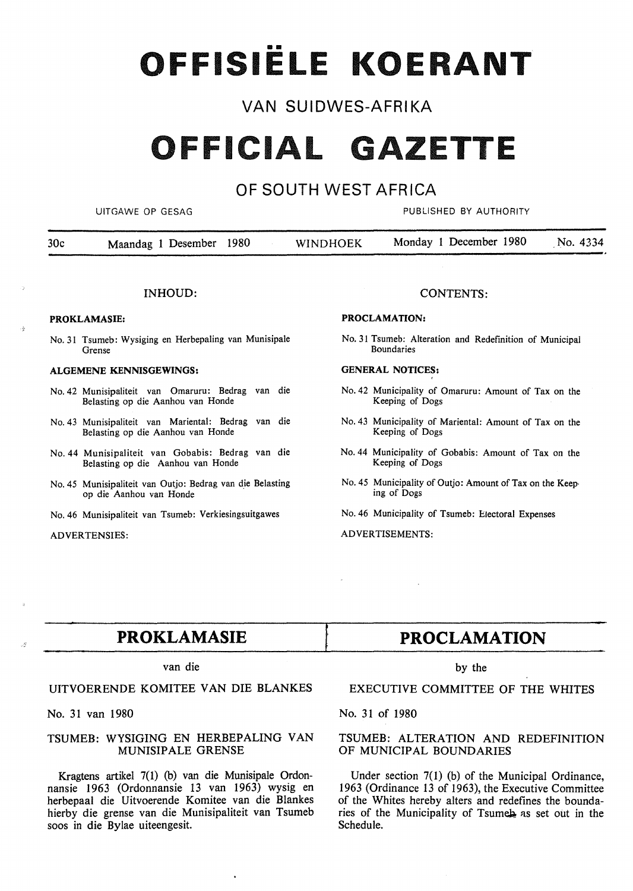# OFFISIËLE KOERANT

## VAN SUIDWES-AFRIKA

## **OFFICIAL GAZETTE**

## OF SOUTH WEST AFRICA

UITGAWE OP GESAG AND THE PUBLISHED BY AUTHORITY

| 30 <sub>c</sub> | Maandag 1 Desember 1980 | <b>WINDHOEK</b> | Monday 1 December 1980 | No. 4334 |
|-----------------|-------------------------|-----------------|------------------------|----------|
|                 |                         |                 |                        |          |

#### INHOUD:

#### **PROKLAMASIE:**

No. 31 Tsumeb: Wysiging en Herbepaling van Munisipale Grense

#### **ALGEMENE KENNISGEWINGS:**

- No. 42 Munisipaliteit van Omaruru: Bedrag van die Belasting op die Aanhou van Ronde
- No. 43 Munisipaliteit van Mariental: Bedrag van die Belasting op die Aanhou van Ronde
- No. 44 Munisipaliteit van Gobabis: Bedrag van die Belasting op die Aanhou van Ronde
- No. 45 Munisipaliteit van Outjo: Bedrag van d\_ie Belasting op die Aanhou van Ronde
- No. 46 Munisipaliteit van Tsumeb: Verkiesingsuitgawes

#### ADVERTENSIES:

#### CONTENTS:

#### **PROCLAMATION:**

No. 31 Tsumeb: Alteration and Redefinition of Municipal Boundaries

#### **GENERAL NOTICES:**

- No. 42 Municipality of Omaruru: Amount of Tax on the Keeping of Dogs
- No. 43 Municipality of Mariental: Amount of Tax on the Keeping of Dogs
- No. 44 Municipality of Gobabis: Amount of Tax on the Keeping of Dogs
- No. 45 Municipality of Outjo: Amount of Tax on the Keeping of Dogs

No. 46 Municipality of Tsumeb: Electoral Expenses

ADVERTISEMENTS:

## **PROKLAMASIE**

#### van die

### **UITVOERENDE KOMITEE VAN DIE BLANKES**

No. 31 van 1980

#### **TSUMEB: WYSIGING EN HERBEPALING VAN MUNISIPALE GRENSE**

Kragtens artikel 7(1) (b) van die Munisipale Ordonnansie 1963 (Ordonnansie 13 van 1963) wysig en herbepaal die Uitvoerende Komitee van die Blankes hierby die grense van die Munisipaliteit van Tsumeb soos in die Bylae uiteengesit.

## **PROCLAMATION**

#### by the

EXECUTIVE COMMITTEE OF THE WHITES

No. 31 of 1980

#### TSUMEB: ALTERATION AND REDEFINITION OF MUNICIPAL BOUNDARIES

Under section 7(1) (b) of the Municipal Ordinance, 1963 (Ordinance 13 of 1963), the Executive Committee of the Whites hereby alters and redefines the boundaries of the Municipality of Tsumeb as set out in the Schedule.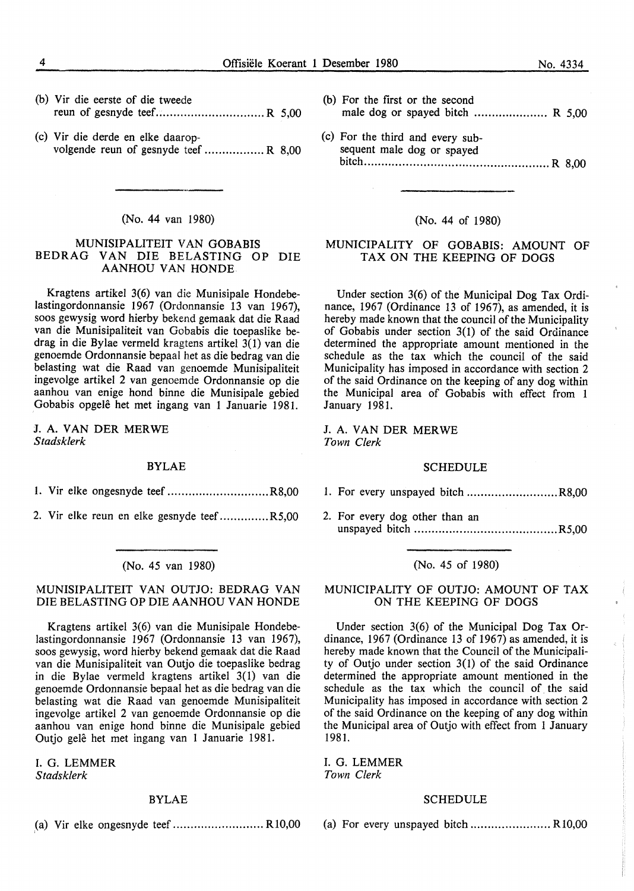|  | (b) Vir die eerste of die tweede |  |
|--|----------------------------------|--|
|  |                                  |  |

(c) Vir die derde en elke daaropvolgende reun of gesnyde teef ................. **R** 8,00

#### (No. 44 van 1980)

#### MUNISIPALITEIT VAN GOBABIS BEDRAG VAN DIE BELASTING OP DIE AANHOU VAN HONDE

Kragtens artikel 3(6) van die Munisipale Hondebelastingordonnansie 1967 (Ordonnansie 13 van 1967), soos gewysig word hierby bekend gemaak dat die Raad van die Munisipaliteit van Gobabis die toepaslike bedrag in die Bylae vermeld kragtens artikel 3(1) van die genoemde Ordonnansie bepaal het as die bedrag van die belasting wat die Raad van genoemde Munisipaliteit ingevolge artikel 2 van genoemde Ordonnansie op die aanhou van enige hond binne die Munisipale gebied Gobabis opgele het met ingang van 1 Januarie 1981.

J. A. VAN DER MERWE *Stadsklerk* 

#### BYLAE

- 1. Vir elke ongesnyde teef ............................. R8,00
- 2. Vir elke reun en elke gesnyde teef. ............. R5,00

#### (No. 45 van 1980)

#### MUNISIPALITEIT VAN OUTJO: BEDRAG VAN DIE BELASTING OP DIE AANHOU VAN RONDE

Kragtens artikel 3(6) van die Munisipale Hondebelastingordonnansie 1967 (Ordonnansie 13 van 1967), soos gewysig, word hierby bekend gemaak dat die Raad van die Munisipaliteit van Outjo die toepaslike bedrag in die Bylae vermeld kragtens artikel 3(1) van die genoemde Ordonnansie bepaal het as die bedrag van die belasting wat die Raad van genoemde Munisipaliteit ingevolge artikel 2 van genoemde Ordonnansie op die aanhou van enige hond binne die Munisipale gebied Outjo gele het met ingang van 1 Januarie 1981.

I. G. LEMMER *Stadsklerk* 

#### BYLAE

(a) Vir elke ongesnyde teef .......................... Rl0,00

- (b) For the first or the second male dog or spayed bitch .......................  $R$  5.00
- (c) For the third and every subsequent male dog or spayed bitch ..................................................... R 8,00

#### (No. 44 of 1980)

#### MUNICIPALITY OF GOBABIS: AMOUNT OF TAX ON THE KEEPING OF DOGS

Under section 3(6) of the Municipal Dog Tax Ordinance, 1967 (Ordinance 13 of 1967), as amended, it is hereby made known that the council of the Municipality of Gobabis under section 3(1) of the said Ordinance determined the appropriate amount mentioned in the schedule as the tax which the council of the said Municipality has imposed in accordance with section 2 of the said Ordinance on the keeping of any dog within the Municipal area of Gobabis with effect from 1 January 1981.

J. A. VAN DER MERWE *Town Clerk* 

#### SCHEDULE

- 1. For every unspayed bitch .......................... R8,00
- 2. For every dog other than an unspayed bitch ......................................... R5,00

#### (No. 45 of 1980)

#### **MUNICIPALITY OF OUTJO: AMOUNT OF TAX**  ON THE KEEPING OF DOGS

Under section 3(6) of the Municipal Dog Tax Ordinance, 1967 (Ordinance 13 of 1967) as amended, it is hereby made known that the Council of the Municipality of Outjo under section 3(1) of the said Ordinance determined the appropriate amount mentioned in the schedule as the tax which the council of the said Municipality has imposed in accordance with section 2 of the said Ordinance on the keeping of any dog within the Municipal area of Outjo with effect from 1 January 1981.

I. G. **LEMMER**  *Town Clerk* 

#### SCHEDULE

(a) For every unspayed bitch ....................... Rl0,00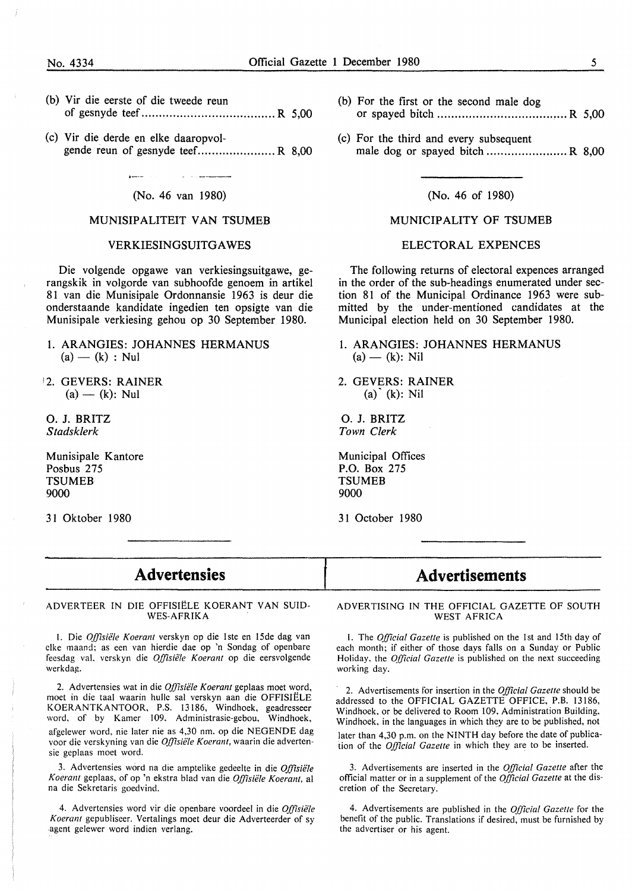- (b) Vir die eerste of die tweede reun of gesnyde teef ...................................... R 5,00
- (c) Vir die derde en elke daaropvolgende reun of gesnyde teef....................... R 8,00

#### (No. 46 van 1980)

#### MUNISIPALITEIT VAN TSUMEB

#### VERKIESINGSUITGAWES

Die volgende opgawe van verkiesingsuitgawe, gerangskik in volgorde van subhoofde genoem in artikel 81 van die Munisipale Ordonnansie 1963 is deur die onderstaande kandidate ingedien ten opsigte van die Munisipale verkiesing gehou op 30 September 1980.

- 1. ARANGIES: JOHANNES HERMANUS  $(a) - (k) : Nul$
- 12. GEVERS: RAINER  $(a) - (k)$ : Nul

0. J. BRITZ *Stadsklerk* 

Munisipale Kantore Posbus 275 **TSUMEB** 9000

31 Oktober 1980

- (b) For the first or the second male dog or spayed bitch ..................................... R 5,00
- (c) For the third and every subsequent male dog or spayed bitch ....................... **R** 8,00

(No. 46 of 1980)

#### MUNICIPALITY OF TSUMEB

#### ELECTORAL EXPENCES

The following returns of electoral expences arranged in the order of the sub-headings enumerated under section 81 of the Municipal Ordinance 1963 were submitted by the under-mentioned candidates at the Municipal election held on 30 September 1980.

- I. ARANGIES: JOHANNES HERMANUS  $(a) - (k)$ : Nil
- 2. GEVERS: RAINER  $(a)$ <sup>(k)</sup>: Nil

0. J. BRITZ *Town Clerk* 

Municipal Offices P.O. Box 275 **TSUMEB** 9000

3 I October 1980

l

### **Advertensies**

ADVERTEER IN DIE OFFISIELE **KOERANT VAN SUID-WES-AFRIKA** 

1. Die Offisiële Koerant verskyn op die 1ste en 15de dag van clkc maand; as een van hierdie dae op 'n Sondag of openbare feesdag val. verskyn die *Offisiële Koerant* op die eersvolgende werkdag.

2. Advertensies wat in die *Offisiële Koerant* geplaas moet word, moet in die taal waarin hulle sal verskyn aan die OFFISIELE KOERANTKANTOOR, P.S. 13186, Windhoek, geadresseer word, of by Kamer 109. Administrasic-gebou, Windhoek, afgelewer word, nie later nie as 4,30 nm. op die NEGENDE dag voor die verskyning van die Offisiële Koerant, waarin die advertensie geplaas moet word.

3. Advertensies word na die amptelike gedeelte in die Offisiële Koerant geplaas, of op 'n ekstra blad van die Offisiële Koerant, al na die Sekretaris goedvind.

4. Advertensies word vir die openbare voordeel in die Offisiële *Koerant* gepubliseer. Vertalings moet deur die Adverteerder of sy .agent gelewer word indien verlang.

## **Advertisements**

ADVERTISING IN THE OFFICIAL GAZETTE OF SOUTH **WEST AFRICA** 

1. The *Official Gazette* is published on the 1st and 15th day of each month; if either of those days falls on a Sunday or Public Holiday, the *Official Gazette* is published on the next succeeding working day.

2. Advertisements for insertion in the *Official Gazette* should be addressed to the OFFICIAL GAZETTE OFFICE, P.B. 13186, Windhoek, or be delivered to Room 109, Administration Building, Windhoek, in the languages in which they are to be published, not later than 4,30 p.m. on the **NINTH** day before the date of publication of the *Official Gazette* in which they are to be inserted.

3. Advertisements are inserted in the *Official Gazette* after the official matter or in a supplement of the *Official Gazette* at the discretion of the Secretary.

4. Advertisements are published in the *Official Gazette* for the benefit of the public. Translations if desired, must be furnished by the advertiser or his agent.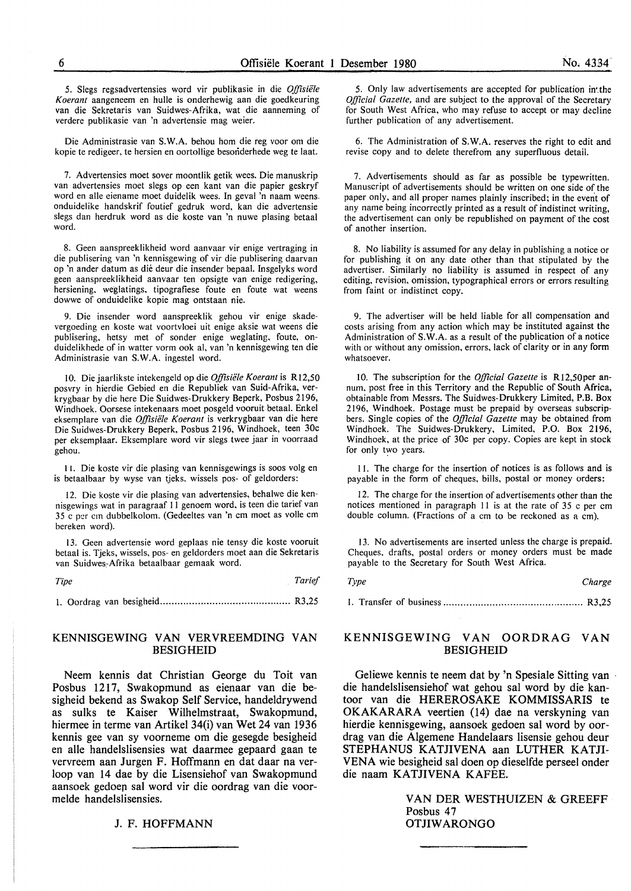5. Slegs regsadvertensies word vir publikasie in die *Offisiele Koerant* aangeneem en hulle is onderhewig aan die goedkeuring van die Sekretaris van Suidwes-Afrika, wat die aanneming of verdere publikasie van 'n advertensie mag weier.

Die Administrasie van **S. W.A.** behou horn die reg voor om die kopie te redigeer, te hersien en oortollige besonderhede weg te laat.

7. Advertensies moet sover moontlik getik wees. Die manuskrip van advertensies moet slegs op een kant van die papier geskryf word en alle eiename moet duidelik wees. In geval 'n naam weens. onduidelike handskrif foutief gedruk word, kan die advertensie slegs dan herdruk word as die koste van 'n nuwe plasing betaal word.

8. Geen aanspreeklikheid word aanvaar vir enige vertraging in die publisering van 'n kennisgewing of vir die publisering daarvan op 'n ander datum as dié deur die insender bepaal. Insgelyks word geen aanspreeklikheid aanvaar ten opsigte van enige redigering, hersiening, weglatings, tipografiese foute en foute wat weens dowwe of onduidelike kopie mag ontstaan nie.

9. Die insender word aanspreeklik gehou vir enige skadevergoeding en koste wat voortvloei uit enige aksie wat weens die publisering, hetsy met of sonder enige weglating, foute, onduidelikhede of in watter vorm ook al, van 'n kennisgewing ten die Administrasie van S. W.A. ingestel word.

10. Die jaarlikste intekengeld op die *Offisiele Koerant* is Rl2,50 posvry in hierdie Gebied en die Republiek van Suid-Afrika, verkrygbaar by die here Die Suidwes-Drukkery Beperk, Posbus 2196, Windhoek. Oorsese intekenaars moet posgeld vooruit betaal. Enke! eksemplare van die *Offisiele Koerant* is verkrygbaar van die here Die Suidwes-Drukkery Beperk, Posbus 2196, Windhoek, teen 30c per eksemplaar. Eksemplare word vir slegs twee jaar in voorraad gehou.

11. Die koste vir die plasing van kennisgewings is soos volg en is betaalbaar by wyse van tjeks, wissels pos- of geldorders:

12. Die koste vir die plasing van advertensies, behalwe die kennisgewings wat in paragraaf 11 genoem word, is teen die tarief van 35 c per cm dubbelkolom. (Gedeeltes van 'n cm moet as volle cm bereken word).

13. Geen advertensie word geplaas nie tensy die koste vooruit betaal is. Tjeks, wissels, pos- en geldorders moet aan die Sekretaris van Suidwes,Afrika betaalbaar gemaak word.

*Tipe* Tarief *Tarief* 

1. Oordrag van besigheid ............................................. R3,25

#### **KENNISGEWING VAN VERVREEMDING VAN BESIGHEID**

Neem kennis dat Christian George du Toit van Posbus 1217, Swakopmund as eienaar van die besigheid bekend as Swakop Self Service, handeldrywend as sulks te Kaiser Wilhelmstraat, Swakopmund, hiermee in terme van Artikel 34(i) van Wet 24 van 1936 kennis gee van sy voorneme om die gesegde besigheid en alle handelslisensies wat daarmee gepaard gaan te vervreem aan Jurgen F. Hoffmann en dat daar na verloop van 14 dae by die Lisensiehof van Swakopmund aansoek gedoen sal word vir die oordrag van die voormelde handelslisensies.

#### J. F. HOFFMANN

5. Only law advertisements are accepted for publication in the *Official Gazette,* and are subject to the approval of the Secretary for South West Africa, who may refuse to accept or may decline further publication of any advertisement.

6. The Administration of S. W.A. reserves the right to edit and revise copy and to delete therefrom any superfluous detail.

7. Advertisements should as far as possible be typewritten. Manuscript of advertisements should be written on one side of the paper only, and all proper names plainly inscribed; in the event of any name being incorrectly printed as a result of indistinct writing, the advertisement can only be republished on payment of the cost of another insertion.

8. No liability is assumed for any delay in publishing a notice or for publishing it on any date other than that stipulated by the advertiser. Similarly no liability is assumed in respect of any editing, revision, omission, typographical errors or errors resulting from faint or indistinct copy.

9. The advertiser will be held liable for all compensation and costs arising from any action which may be instituted against **the**  Administration of S.W.A. as a result of the publication of a notice with or without any omission, errors, lack of clarity or in any form whatsoever.

10. The subscription for the *Official Gazette* is RI2,50per annum, post free in this Territory and the Republic of South **Africa,**  obtainable from Messrs. The Suidwes-Drukkery Limited, **P.B. Box**  2196, Windhoek. Postage must be prepaid by overseas subscripbers. Single copies of the *Official Gazette* may be obtained from Windhoek. The Suidwes-Drukkery, Limited, P.O. Box 2196, Windhoek, at the price of 30c per copy. Copies are kept in stock for only two years.

11. The charge for the insertion of notices is as follows and is payable in the form of cheques, bills, postal or money orders:

12. The charge for the insertion of advertisements other than the notices mentioned in paragraph 11 is at the rate of 35 c per cm double column. (Fractions of a cm to be reckoned as a cm).

13. No advertisements are inserted unless the charge is prepaid. Cheques, drafts, postal orders or money orders must be made payable to the Secretary for South West Africa.

| Type | Charge |
|------|--------|
|------|--------|

I. Transfer of business ................................................ R3,25

#### **KENNISGEWING VAN OORDRAG VAN**  BESIGHEID

Geliewe kennis te neem dat by 'n Spesiale Sitting van die handelslisensiehof wat gehou sal word by die kantoor van die HEREROSAKE KOMMISSARIS te OKAKARARA veertien (14) dae na verskyning van hierdie kennisgewing, aansoek gedoen sat word by oordrag van die Algemene Handelaars lisensie gehou deur STEPHANUS KATJIVENA aan LUTHER KATJI-VENA wie besigheid sat doen op dieselfde perseel onder die naam KATJIVENA KAFEE.

> VAN DER WESTHUIZEN & GREEFF Posbus 47 **OTJIWARONGO**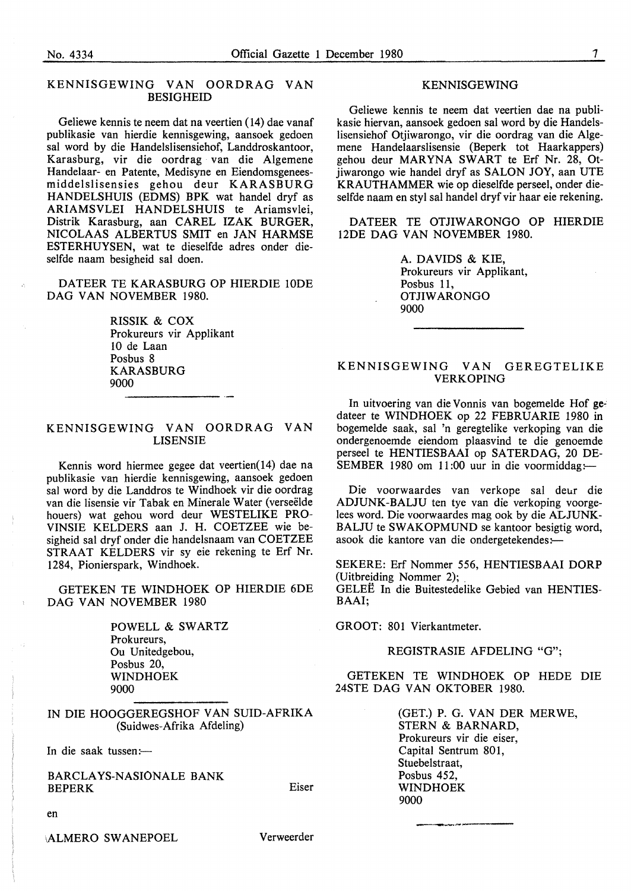#### KENNISGEWING VAN OORDRAG VAN **BESIGHEID**

Geliewe kennis te neem dat na veertien (14) dae vanaf publikasie van hierdie kennisgewing, aansoek gedoen sal word by die Handelslisensiehof, Landdroskantoor, Karasburg, vir die oordrag van die Algemene Handelaar- en Patente, Medisyne en Eiendomsgeneesm id de ls li sens i es gehou deur **KARASBURG**  HANDELSHUIS (EDMS) BPK wat handel dryf as ARIAMSVLEI HANDELSHUIS te Ariamsvlei, Distrik Karasburg, aan CAREL IZAK BURGER, NICOLAAS ALBERTUS SMIT en JAN HARMSE ESTERHUYSEN, wat te dieselfde adres onder dieselfde naam besigheid sal doen.

DATEER TE KARASBURG OP HIERDIE lODE DAG VAN NOVEMBER 1980.

> RISSIK & COX Prokureurs vir Applikant 10 de Laan Posbus 8 **KARASBURG** 9000

#### **KENNISGEWING VAN OORDRAG VAN LISENSIE**

Kennis word hiermee gegee dat veertien( 14) dae na publikasie van hierdie kennisgewing, aansoek gedoen sal word by die Landdros te Windhoek vir die oordrag van die lisensie vir Tabak en Minerale Water (verseelde houers) wat gehou word deur WESTELIKE PRO-VINSIE KELDERS aan J. H. COETZEE wie besigheid sal dryf onder die handelsnaam van COETZEE STRAAT KELDERS vir sy eie rekening te Erf Nr. 1284, Pionierspark, Windhoek.

GETEKEN TE WINDHOEK OP HIERDIE 6DE DAG VAN NOVEMBER 1980

> POWELL & SWARTZ Prokureurs, Ou Unitedgebou, Posbus 20, **WINDHOEK**  9000

**IN DIE HOOGGEREGSHOF VAN SUID-AFRIKA**  (Suidwes-Afrika Afdeling)

In die saak tussen :-

BARCLA YS-NASIONALE BANK BEPERK

#### **KENNISGEWING**

Geliewe kennis te neem dat veertien dae na publikasie hiervan, aansoek gedoen sal word by die Handelslisensiehof Otjiwarongo, vir die oordrag van die Algemene Handelaarslisensie (Beperk tot Haarkappers) gehou deur **MARYNA SWART** te Erf Nr. 28, Otjiwarongo wie handel dryf as SALON JOY, aan UTE KRA UTHAMMER wie op dieselfde perseel, onder dieselfde naam en styl sal handel dryf vir haar eie rekening.

DATEER TE OTJIWARONGO OP HIERDIE 12DE DAG VAN NOVEMBER 1980.

> A. DAVIDS & KIE, Prokureurs vir Applikant, Posbus 11, **OTJIWARONGO** 9000

#### KENNISGEWING VAN GEREGTELIKE VERKOPING

In uitvoering van die Vonnis van bogemelde Hof gedateer te WINDHOEK op 22 FEBRUARIE 1980 in bogemelde saak, sal 'n geregtelike verkoping van die ondergenoemde eiendom plaasvind te die genoemde perseel te HENTIESBAAI op SATERDAG, 20 DE-SEMBER 1980 om 11:00 uur in die voormiddag :-

Die voorwaardes van verkope sal deur die ADJUNK-BALJU ten tye van die verkoping voorgelees word. Die voorwaardes mag ook by die ALJUNK-BALJU te SWAKOPMUND se kantoor besigtig word, asook die kantore van die ondergetekendes:-

SEKERE: Erf Nommer 556, HENTIESBAAI DORP (Uitbreiding Nommer 2); \_

GELEE In die Buitestedelike Gebied van HENTIES-BAAI;

GROOT: 801 Vierkantmeter.

REGISTRASIE AFDELING "G";

GETEKEN TE WINDHOEK OP HEDE DIE 24STE DAG VAN OKTOBER 1980.

---------

(GET.) P. G. VAN DER MERWE, STERN & BARNARD, Prokureurs vir die eiser, Capital Sentrum 801, Stuebelstraat, Posbus 452, WINDHOEK 9000

en

**ALMERO SWANEPOEL** 

Verweerder

Eiser